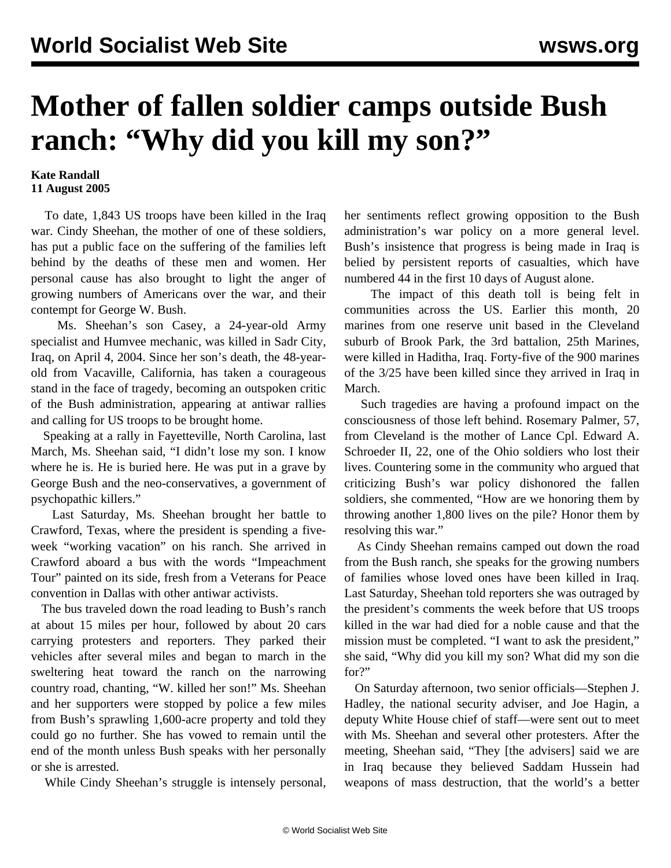## **Mother of fallen soldier camps outside Bush ranch: "Why did you kill my son?"**

## **Kate Randall 11 August 2005**

 To date, 1,843 US troops have been killed in the Iraq war. Cindy Sheehan, the mother of one of these soldiers, has put a public face on the suffering of the families left behind by the deaths of these men and women. Her personal cause has also brought to light the anger of growing numbers of Americans over the war, and their contempt for George W. Bush.

 Ms. Sheehan's son Casey, a 24-year-old Army specialist and Humvee mechanic, was killed in Sadr City, Iraq, on April 4, 2004. Since her son's death, the 48-yearold from Vacaville, California, has taken a courageous stand in the face of tragedy, becoming an outspoken critic of the Bush administration, appearing at antiwar rallies and calling for US troops to be brought home.

 Speaking at a rally in Fayetteville, North Carolina, last March, Ms. Sheehan said, "I didn't lose my son. I know where he is. He is buried here. He was put in a grave by George Bush and the neo-conservatives, a government of psychopathic killers."

 Last Saturday, Ms. Sheehan brought her battle to Crawford, Texas, where the president is spending a fiveweek "working vacation" on his ranch. She arrived in Crawford aboard a bus with the words "Impeachment Tour" painted on its side, fresh from a Veterans for Peace convention in Dallas with other antiwar activists.

 The bus traveled down the road leading to Bush's ranch at about 15 miles per hour, followed by about 20 cars carrying protesters and reporters. They parked their vehicles after several miles and began to march in the sweltering heat toward the ranch on the narrowing country road, chanting, "W. killed her son!" Ms. Sheehan and her supporters were stopped by police a few miles from Bush's sprawling 1,600-acre property and told they could go no further. She has vowed to remain until the end of the month unless Bush speaks with her personally or she is arrested.

While Cindy Sheehan's struggle is intensely personal,

her sentiments reflect growing opposition to the Bush administration's war policy on a more general level. Bush's insistence that progress is being made in Iraq is belied by persistent reports of casualties, which have numbered 44 in the first 10 days of August alone.

 The impact of this death toll is being felt in communities across the US. Earlier this month, 20 marines from one reserve unit based in the Cleveland suburb of Brook Park, the 3rd battalion, 25th Marines, were killed in Haditha, Iraq. Forty-five of the 900 marines of the 3/25 have been killed since they arrived in Iraq in March.

 Such tragedies are having a profound impact on the consciousness of those left behind. Rosemary Palmer, 57, from Cleveland is the mother of Lance Cpl. Edward A. Schroeder II, 22, one of the Ohio soldiers who lost their lives. Countering some in the community who argued that criticizing Bush's war policy dishonored the fallen soldiers, she commented, "How are we honoring them by throwing another 1,800 lives on the pile? Honor them by resolving this war."

 As Cindy Sheehan remains camped out down the road from the Bush ranch, she speaks for the growing numbers of families whose loved ones have been killed in Iraq. Last Saturday, Sheehan told reporters she was outraged by the president's comments the week before that US troops killed in the war had died for a noble cause and that the mission must be completed. "I want to ask the president," she said, "Why did you kill my son? What did my son die for?"

 On Saturday afternoon, two senior officials—Stephen J. Hadley, the national security adviser, and Joe Hagin, a deputy White House chief of staff—were sent out to meet with Ms. Sheehan and several other protesters. After the meeting, Sheehan said, "They [the advisers] said we are in Iraq because they believed Saddam Hussein had weapons of mass destruction, that the world's a better